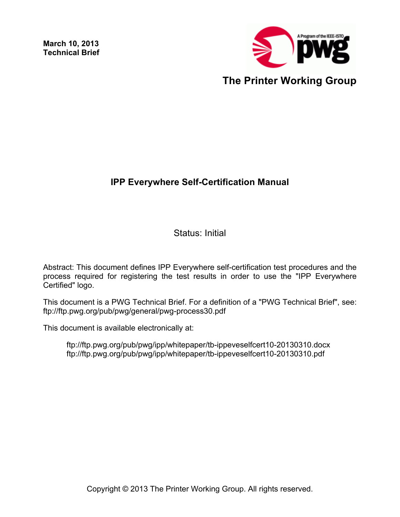**March 10, 2013 Technical Brief**



## **IPP Everywhere Self-Certification Manual**

Status: Initial

Abstract: This document defines IPP Everywhere self-certification test procedures and the process required for registering the test results in order to use the "IPP Everywhere Certified" logo.

This document is a PWG Technical Brief. For a definition of a "PWG Technical Brief", see: ftp://ftp.pwg.org/pub/pwg/general/pwg-process30.pdf

This document is available electronically at:

ftp://ftp.pwg.org/pub/pwg/ipp/whitepaper/tb-ippeveselfcert10-20130310.docx ftp://ftp.pwg.org/pub/pwg/ipp/whitepaper/tb-ippeveselfcert10-20130310.pdf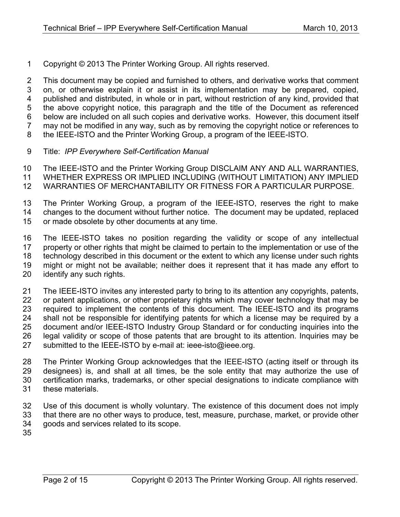Copyright © 2013 The Printer Working Group. All rights reserved.

 This document may be copied and furnished to others, and derivative works that comment on, or otherwise explain it or assist in its implementation may be prepared, copied, published and distributed, in whole or in part, without restriction of any kind, provided that the above copyright notice, this paragraph and the title of the Document as referenced below are included on all such copies and derivative works. However, this document itself may not be modified in any way, such as by removing the copyright notice or references to the IEEE-ISTO and the Printer Working Group, a program of the IEEE-ISTO.

Title: *IPP Everywhere Self-Certification Manual*

The IEEE-ISTO and the Printer Working Group DISCLAIM ANY AND ALL WARRANTIES,

 WHETHER EXPRESS OR IMPLIED INCLUDING (WITHOUT LIMITATION) ANY IMPLIED WARRANTIES OF MERCHANTABILITY OR FITNESS FOR A PARTICULAR PURPOSE.

- The Printer Working Group, a program of the IEEE-ISTO, reserves the right to make
- changes to the document without further notice. The document may be updated, replaced or made obsolete by other documents at any time.
- The IEEE-ISTO takes no position regarding the validity or scope of any intellectual property or other rights that might be claimed to pertain to the implementation or use of the technology described in this document or the extent to which any license under such rights might or might not be available; neither does it represent that it has made any effort to identify any such rights.

 The IEEE-ISTO invites any interested party to bring to its attention any copyrights, patents, 22 or patent applications, or other proprietary rights which may cover technology that may be required to implement the contents of this document. The IEEE-ISTO and its programs shall not be responsible for identifying patents for which a license may be required by a document and/or IEEE-ISTO Industry Group Standard or for conducting inquiries into the legal validity or scope of those patents that are brought to its attention. Inquiries may be 27 submitted to the IEEE-ISTO by e-mail at: ieee-isto@ieee.org.

 The Printer Working Group acknowledges that the IEEE-ISTO (acting itself or through its designees) is, and shall at all times, be the sole entity that may authorize the use of certification marks, trademarks, or other special designations to indicate compliance with these materials.

- Use of this document is wholly voluntary. The existence of this document does not imply that there are no other ways to produce, test, measure, purchase, market, or provide other goods and services related to its scope.
-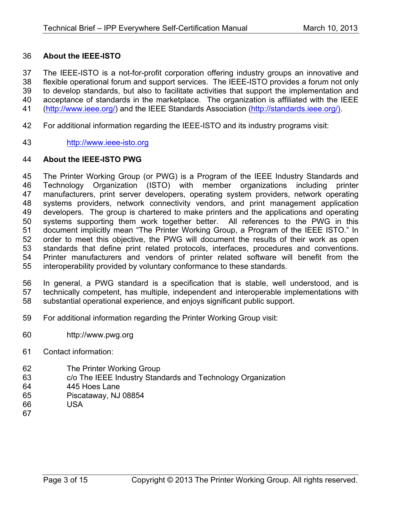#### **About the IEEE-ISTO**

 The IEEE-ISTO is a not-for-profit corporation offering industry groups an innovative and flexible operational forum and support services. The IEEE-ISTO provides a forum not only to develop standards, but also to facilitate activities that support the implementation and acceptance of standards in the marketplace. The organization is affiliated with the IEEE (http://www.ieee.org/) and the IEEE Standards Association (http://standards.ieee.org/).

- For additional information regarding the IEEE-ISTO and its industry programs visit:
- http://www.ieee-isto.org

#### **About the IEEE-ISTO PWG**

 The Printer Working Group (or PWG) is a Program of the IEEE Industry Standards and Technology Organization (ISTO) with member organizations including printer manufacturers, print server developers, operating system providers, network operating systems providers, network connectivity vendors, and print management application developers. The group is chartered to make printers and the applications and operating systems supporting them work together better. All references to the PWG in this document implicitly mean "The Printer Working Group, a Program of the IEEE ISTO." In order to meet this objective, the PWG will document the results of their work as open standards that define print related protocols, interfaces, procedures and conventions. Printer manufacturers and vendors of printer related software will benefit from the interoperability provided by voluntary conformance to these standards.

 In general, a PWG standard is a specification that is stable, well understood, and is technically competent, has multiple, independent and interoperable implementations with substantial operational experience, and enjoys significant public support.

- For additional information regarding the Printer Working Group visit:
- http://www.pwg.org
- Contact information:
- The Printer Working Group
- c/o The IEEE Industry Standards and Technology Organization
- 445 Hoes Lane
- Piscataway, NJ 08854 USA
- 
-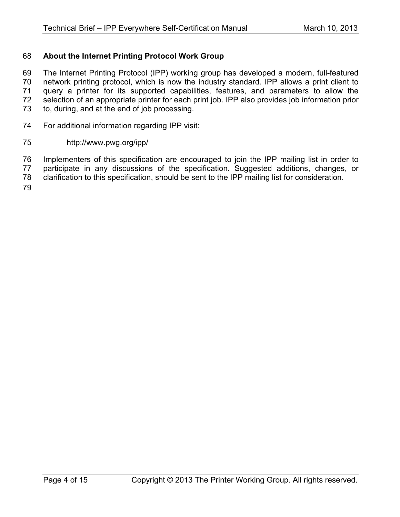#### **About the Internet Printing Protocol Work Group**

 The Internet Printing Protocol (IPP) working group has developed a modern, full-featured network printing protocol, which is now the industry standard. IPP allows a print client to query a printer for its supported capabilities, features, and parameters to allow the selection of an appropriate printer for each print job. IPP also provides job information prior to, during, and at the end of job processing.

- For additional information regarding IPP visit:
- http://www.pwg.org/ipp/

 Implementers of this specification are encouraged to join the IPP mailing list in order to participate in any discussions of the specification. Suggested additions, changes, or

clarification to this specification, should be sent to the IPP mailing list for consideration.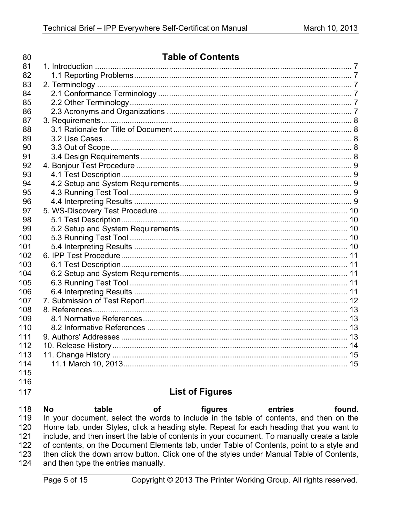| 80         | <b>Table of Contents</b>                                                                    |        |
|------------|---------------------------------------------------------------------------------------------|--------|
| 81         |                                                                                             |        |
| 82         |                                                                                             |        |
| 83         |                                                                                             |        |
| 84         |                                                                                             |        |
| 85         |                                                                                             |        |
| 86         |                                                                                             |        |
| 87         |                                                                                             |        |
| 88         |                                                                                             |        |
| 89         |                                                                                             |        |
| 90         |                                                                                             |        |
| 91         |                                                                                             |        |
| 92         |                                                                                             |        |
| 93         |                                                                                             |        |
| 94         |                                                                                             |        |
| 95         |                                                                                             |        |
| 96         |                                                                                             |        |
| 97         |                                                                                             |        |
| 98         |                                                                                             |        |
| 99         |                                                                                             |        |
| 100        |                                                                                             |        |
| 101<br>102 |                                                                                             |        |
| 103        |                                                                                             |        |
| 104        |                                                                                             |        |
| 105        |                                                                                             |        |
| 106        |                                                                                             |        |
| 107        |                                                                                             |        |
| 108        |                                                                                             |        |
| 109        |                                                                                             |        |
| 110        |                                                                                             |        |
| 111        |                                                                                             |        |
| 112        |                                                                                             |        |
| 113        |                                                                                             |        |
| 114        |                                                                                             |        |
| 115        |                                                                                             |        |
| 116        |                                                                                             |        |
| 117        | <b>List of Figures</b>                                                                      |        |
| 118        | table<br>figures<br><b>No</b><br><b>of</b><br>entries                                       | found. |
| 119        | In your document, select the words to include in the table of contents, and then on the     |        |
| 120        | Home tab, under Styles, click a heading style. Repeat for each heading that you want to     |        |
| 121        | include, and then insert the table of contents in your document. To manually create a table |        |
| 122        | of contents, on the Document Elements tab, under Table of Contents, point to a style and    |        |
| 100        | than oliely the down array button. Cliek and of the styles under Monual Toble of Contente.  |        |

- $123$ then click the down arrow button. Click one of the styles under Manual Table of Contents,
- 124 and then type the entries manually.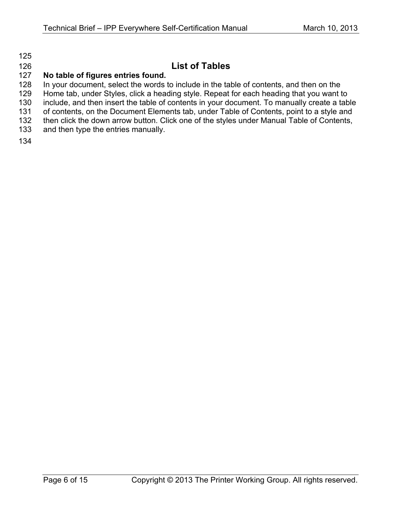## **List of Tables**

#### **No table of figures entries found.**

 In your document, select the words to include in the table of contents, and then on the Home tab, under Styles, click a heading style. Repeat for each heading that you want to

include, and then insert the table of contents in your document. To manually create a table

of contents, on the Document Elements tab, under Table of Contents, point to a style and

- 132 then click the down arrow button. Click one of the styles under Manual Table of Contents,
- and then type the entries manually.
-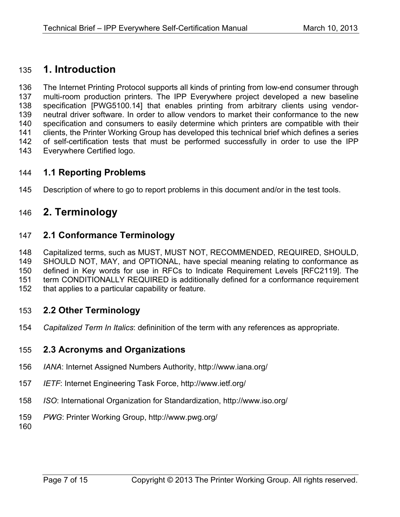# **1. Introduction**

 The Internet Printing Protocol supports all kinds of printing from low-end consumer through multi-room production printers. The IPP Everywhere project developed a new baseline specification [PWG5100.14] that enables printing from arbitrary clients using vendor- neutral driver software. In order to allow vendors to market their conformance to the new specification and consumers to easily determine which printers are compatible with their clients, the Printer Working Group has developed this technical brief which defines a series of self-certification tests that must be performed successfully in order to use the IPP Everywhere Certified logo.

#### **1.1 Reporting Problems**

Description of where to go to report problems in this document and/or in the test tools.

# **2. Terminology**

#### **2.1 Conformance Terminology**

Capitalized terms, such as MUST, MUST NOT, RECOMMENDED, REQUIRED, SHOULD,

SHOULD NOT, MAY, and OPTIONAL, have special meaning relating to conformance as

defined in Key words for use in RFCs to Indicate Requirement Levels [RFC2119]. The

term CONDITIONALLY REQUIRED is additionally defined for a conformance requirement

that applies to a particular capability or feature.

#### **2.2 Other Terminology**

*Capitalized Term In Italics*: defininition of the term with any references as appropriate.

#### **2.3 Acronyms and Organizations**

- *IANA*: Internet Assigned Numbers Authority, http://www.iana.org/
- *IETF*: Internet Engineering Task Force, http://www.ietf.org/
- *ISO*: International Organization for Standardization, http://www.iso.org/
- *PWG*: Printer Working Group, http://www.pwg.org/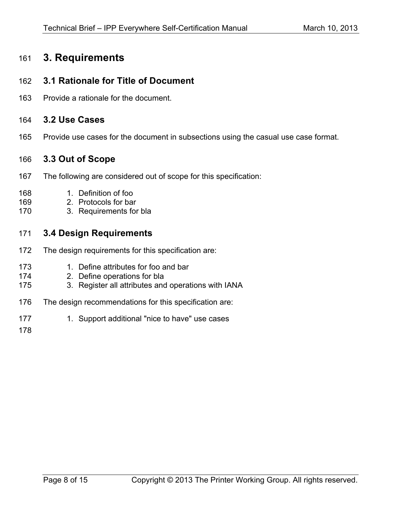# **3. Requirements**

#### **3.1 Rationale for Title of Document**

Provide a rationale for the document.

#### **3.2 Use Cases**

Provide use cases for the document in subsections using the casual use case format.

### **3.3 Out of Scope**

- The following are considered out of scope for this specification:
- 1. Definition of foo
- 2. Protocols for bar
- 3. Requirements for bla

#### **3.4 Design Requirements**

- The design requirements for this specification are:
- 173 1. Define attributes for foo and bar
- 2. Define operations for bla
- 3. Register all attributes and operations with IANA
- The design recommendations for this specification are:
- 177 1. Support additional "nice to have" use cases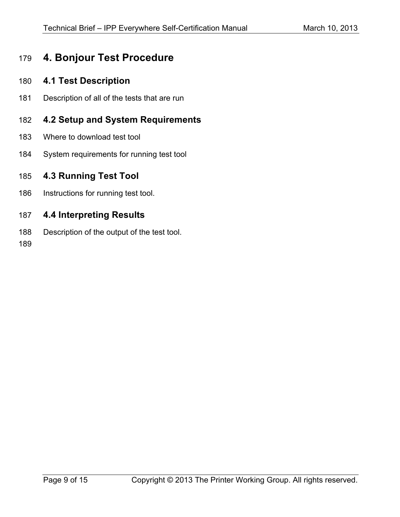# **4. Bonjour Test Procedure**

### **4.1 Test Description**

Description of all of the tests that are run

## **4.2 Setup and System Requirements**

- Where to download test tool
- System requirements for running test tool

#### **4.3 Running Test Tool**

Instructions for running test tool.

#### **4.4 Interpreting Results**

Description of the output of the test tool.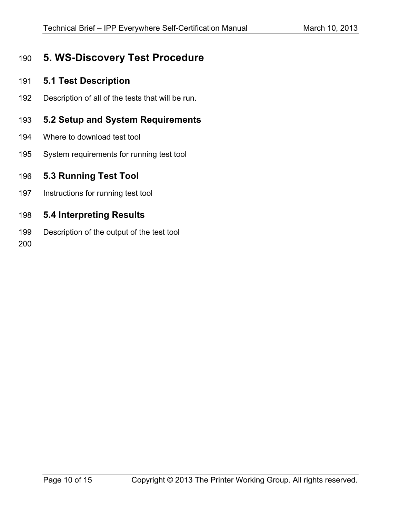# **5. WS-Discovery Test Procedure**

#### **5.1 Test Description**

Description of all of the tests that will be run.

#### **5.2 Setup and System Requirements**

- Where to download test tool
- System requirements for running test tool
- **5.3 Running Test Tool**
- Instructions for running test tool
- **5.4 Interpreting Results**
- Description of the output of the test tool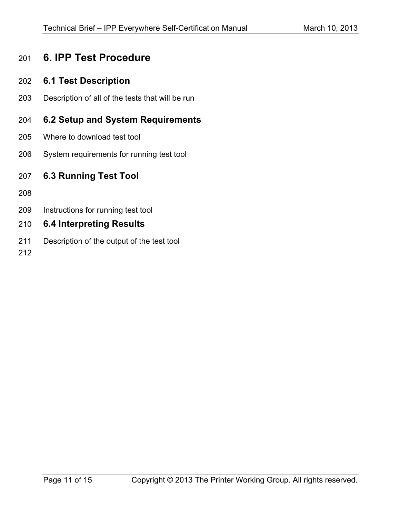# **6. IPP Test Procedure**

## **6.1 Test Description**

Description of all of the tests that will be run

## **6.2 Setup and System Requirements**

- Where to download test tool
- System requirements for running test tool
- **6.3 Running Test Tool**
- 
- Instructions for running test tool
- **6.4 Interpreting Results**
- Description of the output of the test tool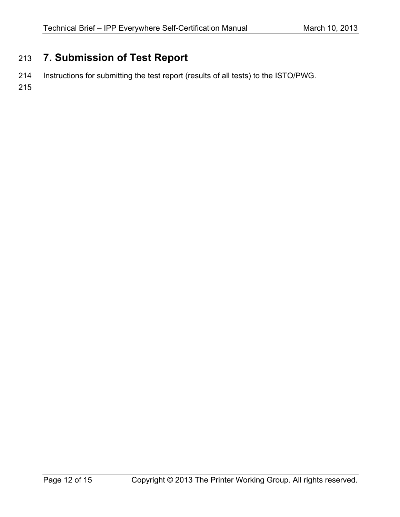# 213 **7. Submission of Test Report**

214 Instructions for submitting the test report (results of all tests) to the ISTO/PWG.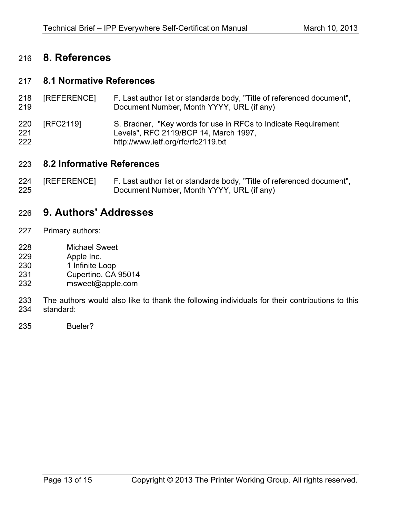# **8. References**

#### **8.1 Normative References**

- [REFERENCE] F. Last author list or standards body, "Title of referenced document", Document Number, Month YYYY, URL (if any)
- [RFC2119] S. Bradner, "Key words for use in RFCs to Indicate Requirement Levels", RFC 2119/BCP 14, March 1997, http://www.ietf.org/rfc/rfc2119.txt

#### **8.2 Informative References**

 [REFERENCE] F. Last author list or standards body, "Title of referenced document", Document Number, Month YYYY, URL (if any)

## **9. Authors' Addresses**

- Primary authors:
- Michael Sweet
- Apple Inc.
- 1 Infinite Loop
- Cupertino, CA 95014
- msweet@apple.com
- The authors would also like to thank the following individuals for their contributions to this standard:
- Bueler?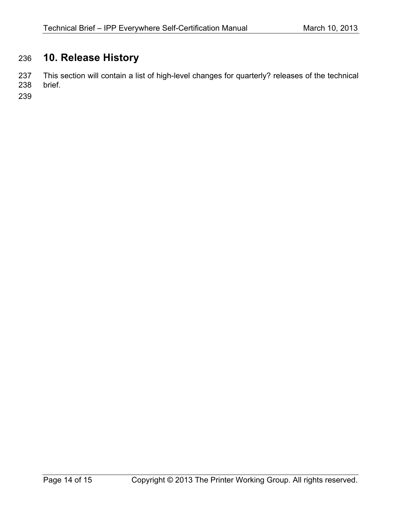# 236 **10. Release History**

237 This section will contain a list of high-level changes for quarterly? releases of the technical brief.